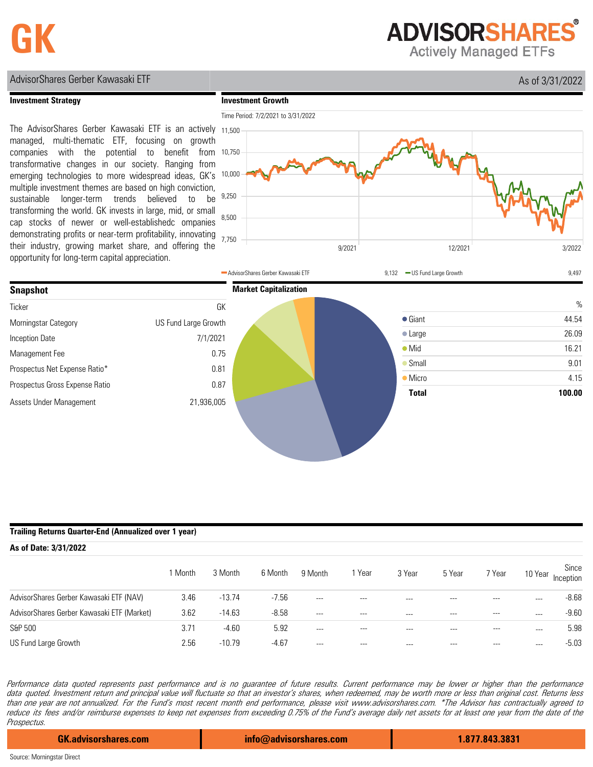**ADVISORSHARES** 

**Actively Managed ETFs** 

## AdvisorShares Gerber Kawasaki ETF **As of 3/31/2022**

## **Investment Strategy**

**Investment Growth**

The AdvisorShares Gerber Kawasaki ETF is an actively 11,500 managed, multi-thematic ETF, focusing on growth companies with the potential to benefit from transformative changes in our society. Ranging from emerging technologies to more widespread ideas, GK's multiple investment themes are based on high conviction, sustainable longer-term trends believed to be transforming the world. GK invests in large, mid, or small cap stocks of newer or well-establishedc ompanies demonstrating profits or near-term profitability, innovating their industry, growing market share, and offering the opportunity for long-term capital appreciation.



|                                |                      | AdvisorShares Gerber Kawasaki ETF | 9,132 - US Fund Large Growth | 9,497  |
|--------------------------------|----------------------|-----------------------------------|------------------------------|--------|
| <b>Snapshot</b>                |                      | <b>Market Capitalization</b>      |                              |        |
| Ticker                         | GK                   |                                   |                              | $\%$   |
| Morningstar Category           | US Fund Large Growth |                                   | $\bullet$ Giant              | 44.54  |
| Inception Date                 | 7/1/2021             |                                   | $\bullet$ Large              | 26.09  |
| Management Fee                 | 0.75                 |                                   | $\bullet$ Mid                | 16.21  |
| Prospectus Net Expense Ratio*  | 0.81                 |                                   | $\bullet$ Small              | 9.01   |
| Prospectus Gross Expense Ratio | 0.87                 |                                   | $\bullet$ Micro              | 4.15   |
| Assets Under Management        | 21,936,005           |                                   | <b>Total</b>                 | 100.00 |

## **Trailing Returns Quarter-End (Annualized over 1 year)**

| As of Date: 3/31/2022                      |         |          |         |         |         |         |         |          |         |                    |
|--------------------------------------------|---------|----------|---------|---------|---------|---------|---------|----------|---------|--------------------|
|                                            | 1 Month | 3 Month  | 6 Month | 9 Month | Year    | 3 Year  | 5 Year  | 7 Year   | 10 Year | Since<br>Inception |
| AdvisorShares Gerber Kawasaki ETF (NAV)    | 3.46    | $-13.74$ | $-7.56$ | $---$   | ---     | $- - -$ |         | $- - -$  |         | $-8.68$            |
| AdvisorShares Gerber Kawasaki ETF (Market) | 3.62    | $-14.63$ | $-8.58$ | $---$   | $- - -$ | ---     | $- - -$ | $\cdots$ | $- - -$ | $-9.60$            |
| S&P 500                                    | 3.71    | $-4.60$  | 5.92    | $---$   | $---$   | ---     | ---     | $- - -$  | $- - -$ | 5.98               |
| US Fund Large Growth                       | 2.56    | $-10.79$ | $-4.67$ | $---$   | ---     | $- - -$ |         |          | $- - -$ | $-5.03$            |

Performance data quoted represents past performance and is no guarantee of future results. Current performance may be lower or higher than the performance data quoted. Investment return and principal value will fluctuate so that an investor's shares, when redeemed, may be worth more or less than original cost. Returns less than one year are not annualized. For the Fund's most recent month end performance, please visit www.advisorshares.com. \*The Advisor has contractually agreed to reduce its fees and/or reimburse expenses to keep net expenses from exceeding 0.75% of the Fund's average daily net assets for at least one year from the date of the Prospectus.

**GK.advisorshares.com info@advisorshares.com 1.877.843.3831**